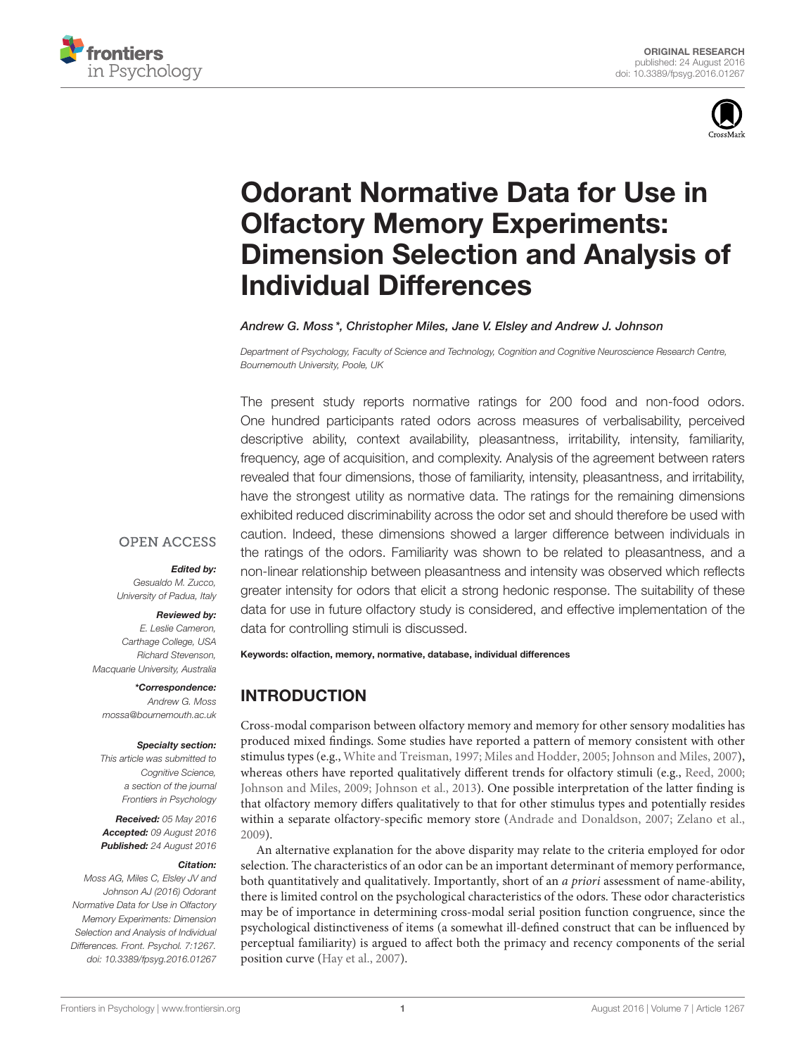



# Odorant Normative Data for Use in Olfactory Memory Experiments: [Dimension Selection and Analysis of](http://journal.frontiersin.org/article/10.3389/fpsyg.2016.01267/abstract) Individual Differences

#### [Andrew G. Moss](http://loop.frontiersin.org/people/344831/overview) \*, Christopher Miles, [Jane V. Elsley](http://loop.frontiersin.org/people/14974/overview) and [Andrew J. Johnson](http://loop.frontiersin.org/people/354705/overview)

*Department of Psychology, Faculty of Science and Technology, Cognition and Cognitive Neuroscience Research Centre, Bournemouth University, Poole, UK*

The present study reports normative ratings for 200 food and non-food odors. One hundred participants rated odors across measures of verbalisability, perceived descriptive ability, context availability, pleasantness, irritability, intensity, familiarity, frequency, age of acquisition, and complexity. Analysis of the agreement between raters revealed that four dimensions, those of familiarity, intensity, pleasantness, and irritability, have the strongest utility as normative data. The ratings for the remaining dimensions exhibited reduced discriminability across the odor set and should therefore be used with caution. Indeed, these dimensions showed a larger difference between individuals in the ratings of the odors. Familiarity was shown to be related to pleasantness, and a non-linear relationship between pleasantness and intensity was observed which reflects greater intensity for odors that elicit a strong hedonic response. The suitability of these data for use in future olfactory study is considered, and effective implementation of the data for controlling stimuli is discussed.

#### **OPEN ACCESS**

## Edited by:

*Gesualdo M. Zucco, University of Padua, Italy*

#### Reviewed by:

*E. Leslie Cameron, Carthage College, USA Richard Stevenson, Macquarie University, Australia*

\*Correspondence: *Andrew G. Moss [mossa@bournemouth.ac.uk](mailto:mossa@bournemouth.ac.uk)*

#### Specialty section:

*This article was submitted to Cognitive Science, a section of the journal Frontiers in Psychology*

Received: *05 May 2016* Accepted: *09 August 2016* Published: *24 August 2016*

#### Citation:

*Moss AG, Miles C, Elsley JV and Johnson AJ (2016) Odorant Normative Data for Use in Olfactory Memory Experiments: Dimension Selection and Analysis of Individual Differences. Front. Psychol. 7:1267. doi: [10.3389/fpsyg.2016.01267](http://dx.doi.org/10.3389/fpsyg.2016.01267)*

Keywords: olfaction, memory, normative, database, individual differences

# INTRODUCTION

Cross-modal comparison between olfactory memory and memory for other sensory modalities has produced mixed findings. Some studies have reported a pattern of memory consistent with other stimulus types (e.g., [White and Treisman, 1997;](#page-9-0) [Miles and Hodder, 2005;](#page-9-1) [Johnson and Miles, 2007\)](#page-9-2), whereas others have reported qualitatively different trends for olfactory stimuli (e.g., [Reed, 2000;](#page-9-3) [Johnson and Miles, 2009;](#page-9-4) [Johnson et al., 2013\)](#page-9-5). One possible interpretation of the latter finding is that olfactory memory differs qualitatively to that for other stimulus types and potentially resides within a separate olfactory-specific memory store [\(Andrade and Donaldson, 2007;](#page-8-0) [Zelano et al.,](#page-10-0) [2009\)](#page-10-0).

An alternative explanation for the above disparity may relate to the criteria employed for odor selection. The characteristics of an odor can be an important determinant of memory performance, both quantitatively and qualitatively. Importantly, short of an a priori assessment of name-ability, there is limited control on the psychological characteristics of the odors. These odor characteristics may be of importance in determining cross-modal serial position function congruence, since the psychological distinctiveness of items (a somewhat ill-defined construct that can be influenced by perceptual familiarity) is argued to affect both the primacy and recency components of the serial position curve [\(Hay et al., 2007\)](#page-9-6).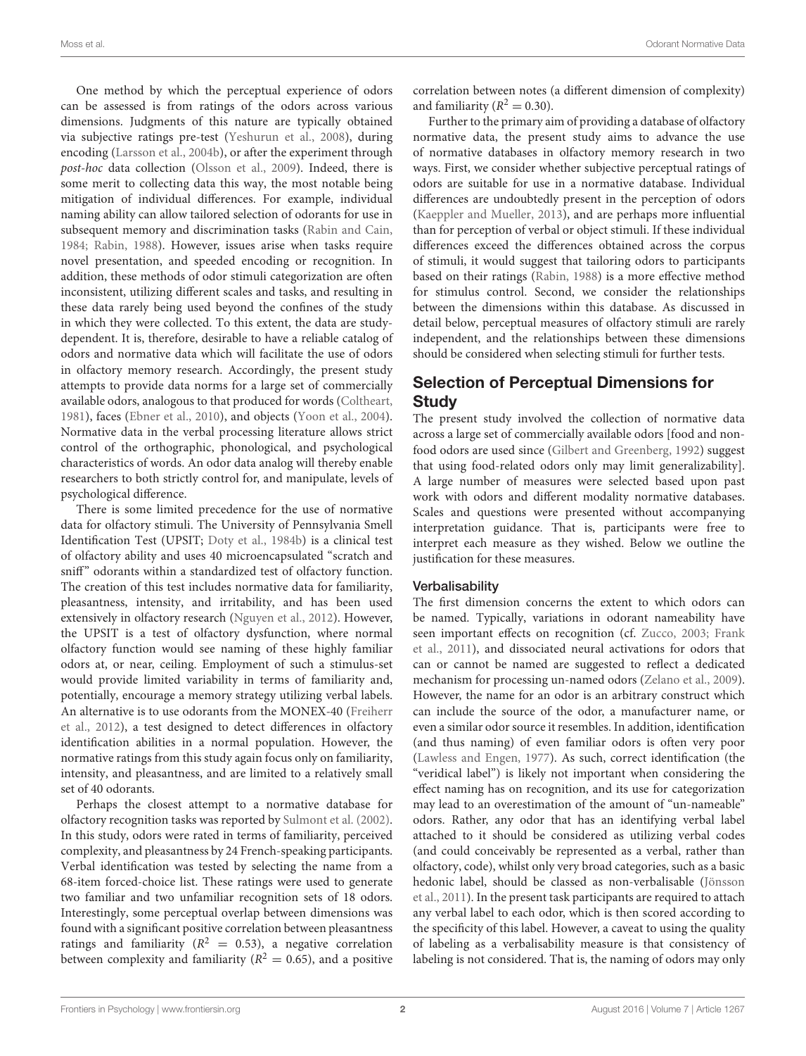One method by which the perceptual experience of odors can be assessed is from ratings of the odors across various dimensions. Judgments of this nature are typically obtained via subjective ratings pre-test [\(Yeshurun et al., 2008\)](#page-10-1), during encoding [\(Larsson et al., 2004b\)](#page-9-7), or after the experiment through post-hoc data collection [\(Olsson et al., 2009\)](#page-9-8). Indeed, there is some merit to collecting data this way, the most notable being mitigation of individual differences. For example, individual naming ability can allow tailored selection of odorants for use in subsequent memory and discrimination tasks [\(Rabin and Cain,](#page-9-9) [1984;](#page-9-9) [Rabin, 1988\)](#page-9-10). However, issues arise when tasks require novel presentation, and speeded encoding or recognition. In addition, these methods of odor stimuli categorization are often inconsistent, utilizing different scales and tasks, and resulting in these data rarely being used beyond the confines of the study in which they were collected. To this extent, the data are studydependent. It is, therefore, desirable to have a reliable catalog of odors and normative data which will facilitate the use of odors in olfactory memory research. Accordingly, the present study attempts to provide data norms for a large set of commercially available odors, analogous to that produced for words [\(Coltheart,](#page-8-1) [1981\)](#page-8-1), faces [\(Ebner et al., 2010\)](#page-9-11), and objects [\(Yoon et al., 2004\)](#page-10-2). Normative data in the verbal processing literature allows strict control of the orthographic, phonological, and psychological characteristics of words. An odor data analog will thereby enable researchers to both strictly control for, and manipulate, levels of psychological difference.

There is some limited precedence for the use of normative data for olfactory stimuli. The University of Pennsylvania Smell Identification Test (UPSIT; [Doty et al., 1984b\)](#page-9-12) is a clinical test of olfactory ability and uses 40 microencapsulated "scratch and sniff" odorants within a standardized test of olfactory function. The creation of this test includes normative data for familiarity, pleasantness, intensity, and irritability, and has been used extensively in olfactory research [\(Nguyen et al., 2012\)](#page-9-13). However, the UPSIT is a test of olfactory dysfunction, where normal olfactory function would see naming of these highly familiar odors at, or near, ceiling. Employment of such a stimulus-set would provide limited variability in terms of familiarity and, potentially, encourage a memory strategy utilizing verbal labels. An alternative is to use odorants from the MONEX-40 (Freiherr et al., [2012\)](#page-9-14), a test designed to detect differences in olfactory identification abilities in a normal population. However, the normative ratings from this study again focus only on familiarity, intensity, and pleasantness, and are limited to a relatively small set of 40 odorants.

Perhaps the closest attempt to a normative database for olfactory recognition tasks was reported by [Sulmont et al. \(2002\)](#page-9-15). In this study, odors were rated in terms of familiarity, perceived complexity, and pleasantness by 24 French-speaking participants. Verbal identification was tested by selecting the name from a 68-item forced-choice list. These ratings were used to generate two familiar and two unfamiliar recognition sets of 18 odors. Interestingly, some perceptual overlap between dimensions was found with a significant positive correlation between pleasantness ratings and familiarity ( $R^2 = 0.53$ ), a negative correlation between complexity and familiarity ( $R^2 = 0.65$ ), and a positive

correlation between notes (a different dimension of complexity) and familiarity ( $R^2 = 0.30$ ).

Further to the primary aim of providing a database of olfactory normative data, the present study aims to advance the use of normative databases in olfactory memory research in two ways. First, we consider whether subjective perceptual ratings of odors are suitable for use in a normative database. Individual differences are undoubtedly present in the perception of odors [\(Kaeppler and Mueller, 2013\)](#page-9-16), and are perhaps more influential than for perception of verbal or object stimuli. If these individual differences exceed the differences obtained across the corpus of stimuli, it would suggest that tailoring odors to participants based on their ratings [\(Rabin, 1988\)](#page-9-10) is a more effective method for stimulus control. Second, we consider the relationships between the dimensions within this database. As discussed in detail below, perceptual measures of olfactory stimuli are rarely independent, and the relationships between these dimensions should be considered when selecting stimuli for further tests.

## Selection of Perceptual Dimensions for **Study**

The present study involved the collection of normative data across a large set of commercially available odors [food and nonfood odors are used since [\(Gilbert and Greenberg, 1992\)](#page-9-17) suggest that using food-related odors only may limit generalizability]. A large number of measures were selected based upon past work with odors and different modality normative databases. Scales and questions were presented without accompanying interpretation guidance. That is, participants were free to interpret each measure as they wished. Below we outline the justification for these measures.

#### Verbalisability

The first dimension concerns the extent to which odors can be named. Typically, variations in odorant nameability have seen important effects on recognition (cf. [Zucco, 2003;](#page-10-3) Frank et al., [2011\)](#page-9-18), and dissociated neural activations for odors that can or cannot be named are suggested to reflect a dedicated mechanism for processing un-named odors [\(Zelano et al., 2009\)](#page-10-0). However, the name for an odor is an arbitrary construct which can include the source of the odor, a manufacturer name, or even a similar odor source it resembles. In addition, identification (and thus naming) of even familiar odors is often very poor [\(Lawless and Engen, 1977\)](#page-9-19). As such, correct identification (the "veridical label") is likely not important when considering the effect naming has on recognition, and its use for categorization may lead to an overestimation of the amount of "un-nameable" odors. Rather, any odor that has an identifying verbal label attached to it should be considered as utilizing verbal codes (and could conceivably be represented as a verbal, rather than olfactory, code), whilst only very broad categories, such as a basic hedonic label, should be classed as non-verbalisable (Jönsson et al., [2011\)](#page-9-20). In the present task participants are required to attach any verbal label to each odor, which is then scored according to the specificity of this label. However, a caveat to using the quality of labeling as a verbalisability measure is that consistency of labeling is not considered. That is, the naming of odors may only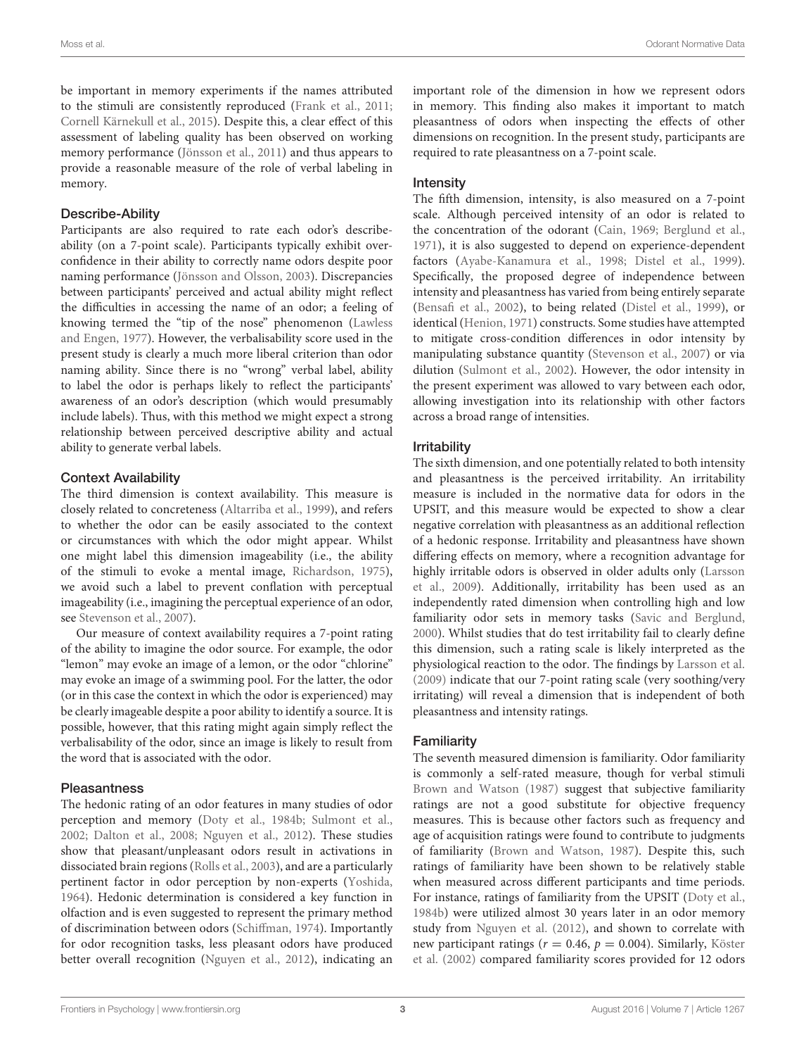be important in memory experiments if the names attributed to the stimuli are consistently reproduced [\(Frank et al., 2011;](#page-9-18) [Cornell Kärnekull et al., 2015\)](#page-8-2). Despite this, a clear effect of this assessment of labeling quality has been observed on working memory performance [\(Jönsson et al., 2011\)](#page-9-20) and thus appears to provide a reasonable measure of the role of verbal labeling in memory.

#### Describe-Ability

Participants are also required to rate each odor's describeability (on a 7-point scale). Participants typically exhibit overconfidence in their ability to correctly name odors despite poor naming performance [\(Jönsson and Olsson, 2003\)](#page-9-21). Discrepancies between participants' perceived and actual ability might reflect the difficulties in accessing the name of an odor; a feeling of knowing termed the "tip of the nose" phenomenon (Lawless and Engen, [1977\)](#page-9-19). However, the verbalisability score used in the present study is clearly a much more liberal criterion than odor naming ability. Since there is no "wrong" verbal label, ability to label the odor is perhaps likely to reflect the participants' awareness of an odor's description (which would presumably include labels). Thus, with this method we might expect a strong relationship between perceived descriptive ability and actual ability to generate verbal labels.

#### Context Availability

The third dimension is context availability. This measure is closely related to concreteness [\(Altarriba et al., 1999\)](#page-8-3), and refers to whether the odor can be easily associated to the context or circumstances with which the odor might appear. Whilst one might label this dimension imageability (i.e., the ability of the stimuli to evoke a mental image, [Richardson, 1975\)](#page-9-22), we avoid such a label to prevent conflation with perceptual imageability (i.e., imagining the perceptual experience of an odor, see [Stevenson et al., 2007\)](#page-9-23).

Our measure of context availability requires a 7-point rating of the ability to imagine the odor source. For example, the odor "lemon" may evoke an image of a lemon, or the odor "chlorine" may evoke an image of a swimming pool. For the latter, the odor (or in this case the context in which the odor is experienced) may be clearly imageable despite a poor ability to identify a source. It is possible, however, that this rating might again simply reflect the verbalisability of the odor, since an image is likely to result from the word that is associated with the odor.

#### **Pleasantness**

The hedonic rating of an odor features in many studies of odor perception and memory [\(Doty et al., 1984b;](#page-9-12) [Sulmont et al.,](#page-9-15) [2002;](#page-9-15) [Dalton et al., 2008;](#page-8-4) [Nguyen et al., 2012\)](#page-9-13). These studies show that pleasant/unpleasant odors result in activations in dissociated brain regions [\(Rolls et al., 2003\)](#page-9-24), and are a particularly pertinent factor in odor perception by non-experts [\(Yoshida,](#page-10-4) [1964\)](#page-10-4). Hedonic determination is considered a key function in olfaction and is even suggested to represent the primary method of discrimination between odors [\(Schiffman, 1974\)](#page-9-25). Importantly for odor recognition tasks, less pleasant odors have produced better overall recognition [\(Nguyen et al., 2012\)](#page-9-13), indicating an important role of the dimension in how we represent odors in memory. This finding also makes it important to match pleasantness of odors when inspecting the effects of other dimensions on recognition. In the present study, participants are required to rate pleasantness on a 7-point scale.

### Intensity

The fifth dimension, intensity, is also measured on a 7-point scale. Although perceived intensity of an odor is related to the concentration of the odorant [\(Cain, 1969;](#page-8-5) [Berglund et al.,](#page-8-6) [1971\)](#page-8-6), it is also suggested to depend on experience-dependent factors [\(Ayabe-Kanamura et al., 1998;](#page-8-7) [Distel et al., 1999\)](#page-8-8). Specifically, the proposed degree of independence between intensity and pleasantness has varied from being entirely separate [\(Bensafi et al., 2002\)](#page-8-9), to being related [\(Distel et al., 1999\)](#page-8-8), or identical [\(Henion, 1971\)](#page-9-26) constructs. Some studies have attempted to mitigate cross-condition differences in odor intensity by manipulating substance quantity [\(Stevenson et al., 2007\)](#page-9-23) or via dilution [\(Sulmont et al., 2002\)](#page-9-15). However, the odor intensity in the present experiment was allowed to vary between each odor, allowing investigation into its relationship with other factors across a broad range of intensities.

#### Irritability

The sixth dimension, and one potentially related to both intensity and pleasantness is the perceived irritability. An irritability measure is included in the normative data for odors in the UPSIT, and this measure would be expected to show a clear negative correlation with pleasantness as an additional reflection of a hedonic response. Irritability and pleasantness have shown differing effects on memory, where a recognition advantage for highly irritable odors is observed in older adults only (Larsson et al., [2009\)](#page-9-27). Additionally, irritability has been used as an independently rated dimension when controlling high and low familiarity odor sets in memory tasks [\(Savic and Berglund,](#page-9-28) [2000\)](#page-9-28). Whilst studies that do test irritability fail to clearly define this dimension, such a rating scale is likely interpreted as the physiological reaction to the odor. The findings by [Larsson et al.](#page-9-27) [\(2009\)](#page-9-27) indicate that our 7-point rating scale (very soothing/very irritating) will reveal a dimension that is independent of both pleasantness and intensity ratings.

#### Familiarity

The seventh measured dimension is familiarity. Odor familiarity is commonly a self-rated measure, though for verbal stimuli [Brown and Watson \(1987\)](#page-8-10) suggest that subjective familiarity ratings are not a good substitute for objective frequency measures. This is because other factors such as frequency and age of acquisition ratings were found to contribute to judgments of familiarity [\(Brown and Watson, 1987\)](#page-8-10). Despite this, such ratings of familiarity have been shown to be relatively stable when measured across different participants and time periods. For instance, ratings of familiarity from the UPSIT [\(Doty et al.,](#page-9-12) [1984b\)](#page-9-12) were utilized almost 30 years later in an odor memory study from [Nguyen et al. \(2012\)](#page-9-13), and shown to correlate with new participant ratings ( $r = 0.46$ ,  $p = 0.004$ ). Similarly, Köster et al. [\(2002\)](#page-9-29) compared familiarity scores provided for 12 odors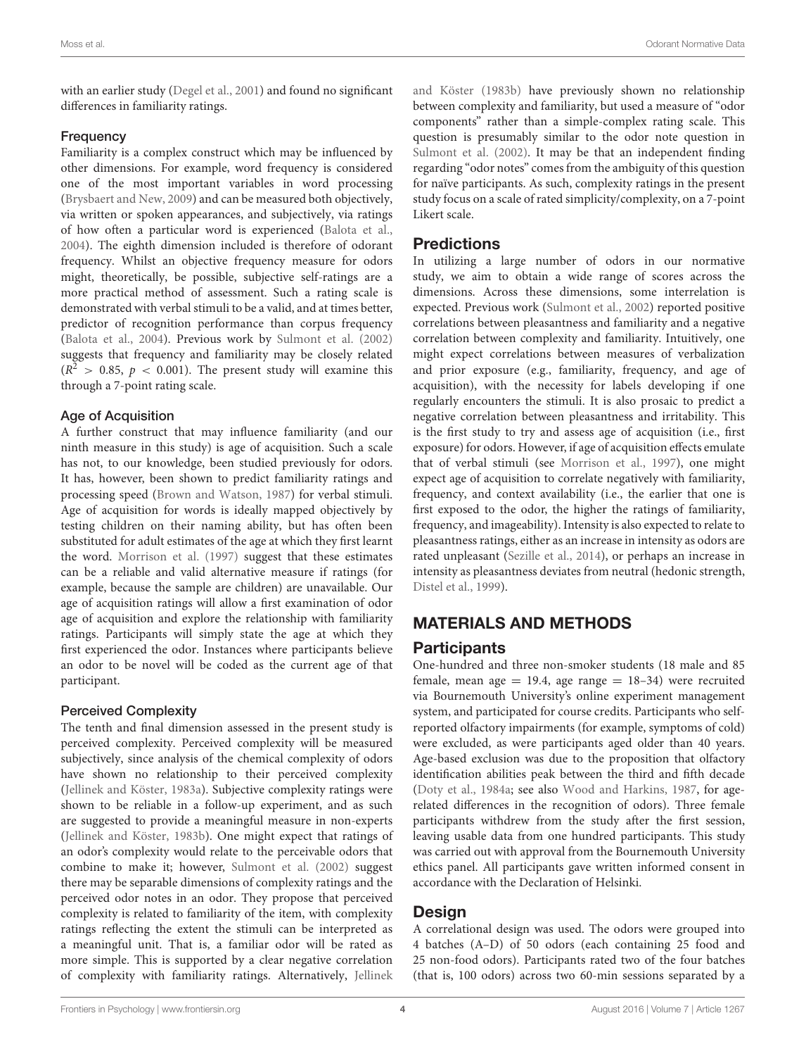with an earlier study [\(Degel et al., 2001\)](#page-8-11) and found no significant differences in familiarity ratings.

#### **Frequency**

Familiarity is a complex construct which may be influenced by other dimensions. For example, word frequency is considered one of the most important variables in word processing [\(Brysbaert and New, 2009\)](#page-8-12) and can be measured both objectively, via written or spoken appearances, and subjectively, via ratings of how often a particular word is experienced [\(Balota et al.,](#page-8-13) [2004\)](#page-8-13). The eighth dimension included is therefore of odorant frequency. Whilst an objective frequency measure for odors might, theoretically, be possible, subjective self-ratings are a more practical method of assessment. Such a rating scale is demonstrated with verbal stimuli to be a valid, and at times better, predictor of recognition performance than corpus frequency [\(Balota et al., 2004\)](#page-8-13). Previous work by [Sulmont et al. \(2002\)](#page-9-15) suggests that frequency and familiarity may be closely related  $(R^2 > 0.85, p < 0.001)$ . The present study will examine this through a 7-point rating scale.

#### Age of Acquisition

A further construct that may influence familiarity (and our ninth measure in this study) is age of acquisition. Such a scale has not, to our knowledge, been studied previously for odors. It has, however, been shown to predict familiarity ratings and processing speed [\(Brown and Watson, 1987\)](#page-8-10) for verbal stimuli. Age of acquisition for words is ideally mapped objectively by testing children on their naming ability, but has often been substituted for adult estimates of the age at which they first learnt the word. [Morrison et al. \(1997\)](#page-9-30) suggest that these estimates can be a reliable and valid alternative measure if ratings (for example, because the sample are children) are unavailable. Our age of acquisition ratings will allow a first examination of odor age of acquisition and explore the relationship with familiarity ratings. Participants will simply state the age at which they first experienced the odor. Instances where participants believe an odor to be novel will be coded as the current age of that participant.

#### Perceived Complexity

The tenth and final dimension assessed in the present study is perceived complexity. Perceived complexity will be measured subjectively, since analysis of the chemical complexity of odors have shown no relationship to their perceived complexity [\(Jellinek and Köster, 1983a\)](#page-9-31). Subjective complexity ratings were shown to be reliable in a follow-up experiment, and as such are suggested to provide a meaningful measure in non-experts [\(Jellinek and Köster, 1983b\)](#page-9-32). One might expect that ratings of an odor's complexity would relate to the perceivable odors that combine to make it; however, [Sulmont et al. \(2002\)](#page-9-15) suggest there may be separable dimensions of complexity ratings and the perceived odor notes in an odor. They propose that perceived complexity is related to familiarity of the item, with complexity ratings reflecting the extent the stimuli can be interpreted as a meaningful unit. That is, a familiar odor will be rated as more simple. This is supported by a clear negative correlation of complexity with familiarity ratings. Alternatively, Jellinek and Köster [\(1983b\)](#page-9-32) have previously shown no relationship between complexity and familiarity, but used a measure of "odor components" rather than a simple-complex rating scale. This question is presumably similar to the odor note question in [Sulmont et al. \(2002\)](#page-9-15). It may be that an independent finding regarding "odor notes" comes from the ambiguity of this question for naïve participants. As such, complexity ratings in the present study focus on a scale of rated simplicity/complexity, on a 7-point Likert scale.

## **Predictions**

In utilizing a large number of odors in our normative study, we aim to obtain a wide range of scores across the dimensions. Across these dimensions, some interrelation is expected. Previous work [\(Sulmont et al., 2002\)](#page-9-15) reported positive correlations between pleasantness and familiarity and a negative correlation between complexity and familiarity. Intuitively, one might expect correlations between measures of verbalization and prior exposure (e.g., familiarity, frequency, and age of acquisition), with the necessity for labels developing if one regularly encounters the stimuli. It is also prosaic to predict a negative correlation between pleasantness and irritability. This is the first study to try and assess age of acquisition (i.e., first exposure) for odors. However, if age of acquisition effects emulate that of verbal stimuli (see [Morrison et al., 1997\)](#page-9-30), one might expect age of acquisition to correlate negatively with familiarity, frequency, and context availability (i.e., the earlier that one is first exposed to the odor, the higher the ratings of familiarity, frequency, and imageability). Intensity is also expected to relate to pleasantness ratings, either as an increase in intensity as odors are rated unpleasant [\(Sezille et al., 2014\)](#page-9-33), or perhaps an increase in intensity as pleasantness deviates from neutral (hedonic strength, [Distel et al., 1999\)](#page-8-8).

# MATERIALS AND METHODS

## **Participants**

One-hundred and three non-smoker students (18 male and 85 female, mean age = 19.4, age range =  $18-34$ ) were recruited via Bournemouth University's online experiment management system, and participated for course credits. Participants who selfreported olfactory impairments (for example, symptoms of cold) were excluded, as were participants aged older than 40 years. Age-based exclusion was due to the proposition that olfactory identification abilities peak between the third and fifth decade [\(Doty et al., 1984a;](#page-9-34) see also [Wood and Harkins, 1987,](#page-9-35) for agerelated differences in the recognition of odors). Three female participants withdrew from the study after the first session, leaving usable data from one hundred participants. This study was carried out with approval from the Bournemouth University ethics panel. All participants gave written informed consent in accordance with the Declaration of Helsinki.

## Design

A correlational design was used. The odors were grouped into 4 batches (A–D) of 50 odors (each containing 25 food and 25 non-food odors). Participants rated two of the four batches (that is, 100 odors) across two 60-min sessions separated by a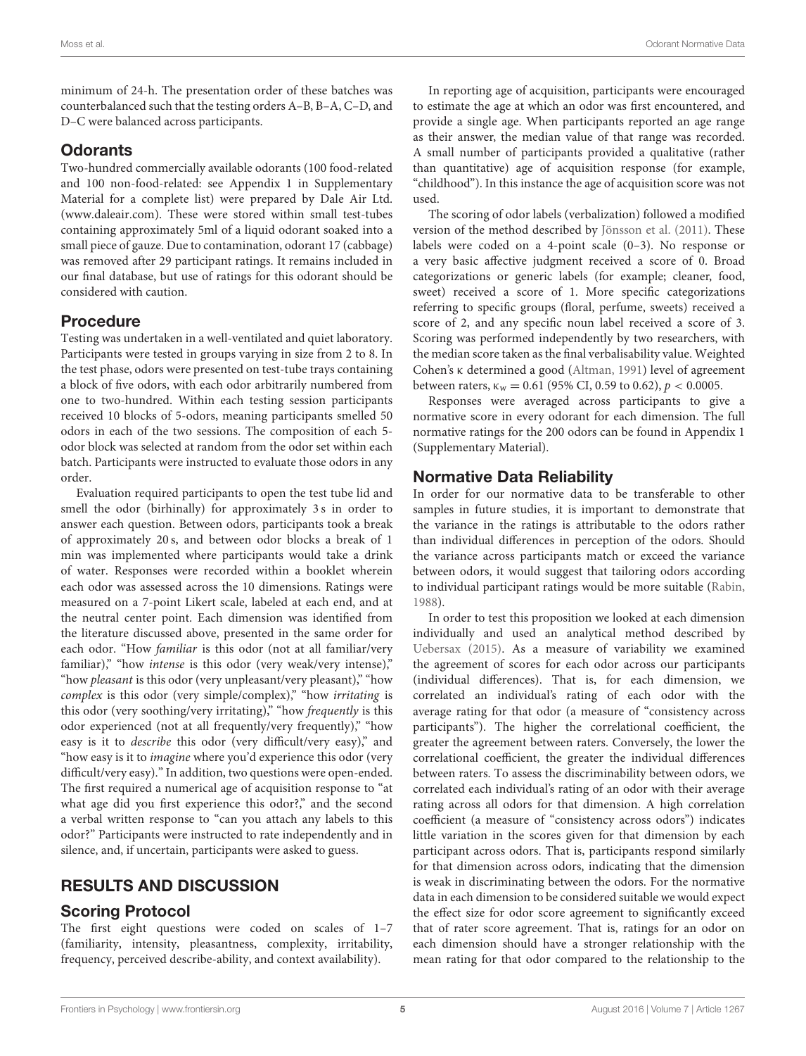minimum of 24-h. The presentation order of these batches was counterbalanced such that the testing orders A–B, B–A, C–D, and D–C were balanced across participants.

## **Odorants**

Two-hundred commercially available odorants (100 food-related and 100 non-food-related: see Appendix 1 in Supplementary Material for a complete list) were prepared by Dale Air Ltd. [\(www.daleair.com\)](www.daleair.com). These were stored within small test-tubes containing approximately 5ml of a liquid odorant soaked into a small piece of gauze. Due to contamination, odorant 17 (cabbage) was removed after 29 participant ratings. It remains included in our final database, but use of ratings for this odorant should be considered with caution.

## Procedure

Testing was undertaken in a well-ventilated and quiet laboratory. Participants were tested in groups varying in size from 2 to 8. In the test phase, odors were presented on test-tube trays containing a block of five odors, with each odor arbitrarily numbered from one to two-hundred. Within each testing session participants received 10 blocks of 5-odors, meaning participants smelled 50 odors in each of the two sessions. The composition of each 5 odor block was selected at random from the odor set within each batch. Participants were instructed to evaluate those odors in any order.

Evaluation required participants to open the test tube lid and smell the odor (birhinally) for approximately 3 s in order to answer each question. Between odors, participants took a break of approximately 20 s, and between odor blocks a break of 1 min was implemented where participants would take a drink of water. Responses were recorded within a booklet wherein each odor was assessed across the 10 dimensions. Ratings were measured on a 7-point Likert scale, labeled at each end, and at the neutral center point. Each dimension was identified from the literature discussed above, presented in the same order for each odor. "How familiar is this odor (not at all familiar/very familiar)," "how *intense* is this odor (very weak/very intense)," "how pleasant is this odor (very unpleasant/very pleasant)," "how complex is this odor (very simple/complex)," "how irritating is this odor (very soothing/very irritating)," "how frequently is this odor experienced (not at all frequently/very frequently)," "how easy is it to *describe* this odor (very difficult/very easy)," and "how easy is it to *imagine* where you'd experience this odor (very difficult/very easy)." In addition, two questions were open-ended. The first required a numerical age of acquisition response to "at what age did you first experience this odor?," and the second a verbal written response to "can you attach any labels to this odor?" Participants were instructed to rate independently and in silence, and, if uncertain, participants were asked to guess.

# RESULTS AND DISCUSSION

# Scoring Protocol

The first eight questions were coded on scales of 1–7 (familiarity, intensity, pleasantness, complexity, irritability, frequency, perceived describe-ability, and context availability).

In reporting age of acquisition, participants were encouraged to estimate the age at which an odor was first encountered, and provide a single age. When participants reported an age range as their answer, the median value of that range was recorded. A small number of participants provided a qualitative (rather than quantitative) age of acquisition response (for example, "childhood"). In this instance the age of acquisition score was not used.

The scoring of odor labels (verbalization) followed a modified version of the method described by [Jönsson et al. \(2011\)](#page-9-20). These labels were coded on a 4-point scale (0–3). No response or a very basic affective judgment received a score of 0. Broad categorizations or generic labels (for example; cleaner, food, sweet) received a score of 1. More specific categorizations referring to specific groups (floral, perfume, sweets) received a score of 2, and any specific noun label received a score of 3. Scoring was performed independently by two researchers, with the median score taken as the final verbalisability value. Weighted Cohen's κ determined a good [\(Altman, 1991\)](#page-8-14) level of agreement between raters,  $\kappa_w = 0.61$  (95% CI, 0.59 to 0.62),  $p < 0.0005$ .

Responses were averaged across participants to give a normative score in every odorant for each dimension. The full normative ratings for the 200 odors can be found in Appendix 1 (Supplementary Material).

## Normative Data Reliability

In order for our normative data to be transferable to other samples in future studies, it is important to demonstrate that the variance in the ratings is attributable to the odors rather than individual differences in perception of the odors. Should the variance across participants match or exceed the variance between odors, it would suggest that tailoring odors according to individual participant ratings would be more suitable [\(Rabin,](#page-9-10) [1988\)](#page-9-10).

In order to test this proposition we looked at each dimension individually and used an analytical method described by [Uebersax \(2015\)](#page-9-36). As a measure of variability we examined the agreement of scores for each odor across our participants (individual differences). That is, for each dimension, we correlated an individual's rating of each odor with the average rating for that odor (a measure of "consistency across participants"). The higher the correlational coefficient, the greater the agreement between raters. Conversely, the lower the correlational coefficient, the greater the individual differences between raters. To assess the discriminability between odors, we correlated each individual's rating of an odor with their average rating across all odors for that dimension. A high correlation coefficient (a measure of "consistency across odors") indicates little variation in the scores given for that dimension by each participant across odors. That is, participants respond similarly for that dimension across odors, indicating that the dimension is weak in discriminating between the odors. For the normative data in each dimension to be considered suitable we would expect the effect size for odor score agreement to significantly exceed that of rater score agreement. That is, ratings for an odor on each dimension should have a stronger relationship with the mean rating for that odor compared to the relationship to the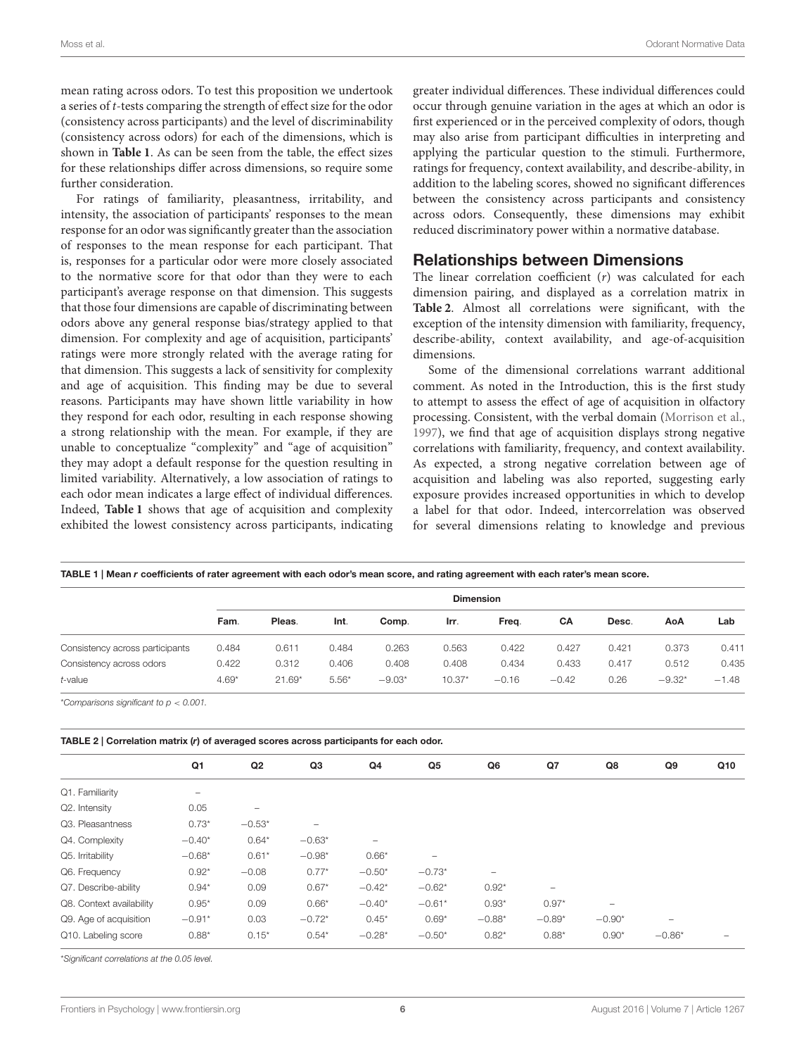mean rating across odors. To test this proposition we undertook a series of t-tests comparing the strength of effect size for the odor (consistency across participants) and the level of discriminability (consistency across odors) for each of the dimensions, which is shown in **[Table 1](#page-5-0)**. As can be seen from the table, the effect sizes for these relationships differ across dimensions, so require some further consideration.

For ratings of familiarity, pleasantness, irritability, and intensity, the association of participants' responses to the mean response for an odor was significantly greater than the association of responses to the mean response for each participant. That is, responses for a particular odor were more closely associated to the normative score for that odor than they were to each participant's average response on that dimension. This suggests that those four dimensions are capable of discriminating between odors above any general response bias/strategy applied to that dimension. For complexity and age of acquisition, participants' ratings were more strongly related with the average rating for that dimension. This suggests a lack of sensitivity for complexity and age of acquisition. This finding may be due to several reasons. Participants may have shown little variability in how they respond for each odor, resulting in each response showing a strong relationship with the mean. For example, if they are unable to conceptualize "complexity" and "age of acquisition" they may adopt a default response for the question resulting in limited variability. Alternatively, a low association of ratings to each odor mean indicates a large effect of individual differences. Indeed, **[Table 1](#page-5-0)** shows that age of acquisition and complexity exhibited the lowest consistency across participants, indicating greater individual differences. These individual differences could occur through genuine variation in the ages at which an odor is first experienced or in the perceived complexity of odors, though may also arise from participant difficulties in interpreting and applying the particular question to the stimuli. Furthermore, ratings for frequency, context availability, and describe-ability, in addition to the labeling scores, showed no significant differences between the consistency across participants and consistency across odors. Consequently, these dimensions may exhibit reduced discriminatory power within a normative database.

### Relationships between Dimensions

The linear correlation coefficient  $(r)$  was calculated for each dimension pairing, and displayed as a correlation matrix in **[Table 2](#page-5-1)**. Almost all correlations were significant, with the exception of the intensity dimension with familiarity, frequency, describe-ability, context availability, and age-of-acquisition dimensions.

Some of the dimensional correlations warrant additional comment. As noted in the Introduction, this is the first study to attempt to assess the effect of age of acquisition in olfactory processing. Consistent, with the verbal domain [\(Morrison et al.,](#page-9-30) [1997\)](#page-9-30), we find that age of acquisition displays strong negative correlations with familiarity, frequency, and context availability. As expected, a strong negative correlation between age of acquisition and labeling was also reported, suggesting early exposure provides increased opportunities in which to develop a label for that odor. Indeed, intercorrelation was observed for several dimensions relating to knowledge and previous

<span id="page-5-0"></span>

|  |  |  |  |  |  | TABLE 1   Mean r coefficients of rater agreement with each odor's mean score, and rating agreement with each rater's mean score. |
|--|--|--|--|--|--|----------------------------------------------------------------------------------------------------------------------------------|
|--|--|--|--|--|--|----------------------------------------------------------------------------------------------------------------------------------|

|                                 | <b>Dimension</b> |          |         |          |          |         |         |       |          |         |
|---------------------------------|------------------|----------|---------|----------|----------|---------|---------|-------|----------|---------|
|                                 | Fam.             | Pleas.   | Int.    | Comp.    | Irr.     | Freq.   | CA      | Desc. | AoA      | Lab     |
| Consistency across participants | 0.484            | 0.611    | 0.484   | 0.263    | 0.563    | 0.422   | 0.427   | 0.421 | 0.373    | 0.411   |
| Consistency across odors        | 0.422            | 0.312    | 0.406   | 0.408    | 0.408    | 0.434   | 0.433   | 0.417 | 0.512    | 0.435   |
| $t$ -value                      | $4.69*$          | $21.69*$ | $5.56*$ | $-9.03*$ | $10.37*$ | $-0.16$ | $-0.42$ | 0.26  | $-9.32*$ | $-1.48$ |

\**Comparisons significant to p* < *0.001.*

<span id="page-5-1"></span>

| TABLE 2   Correlation matrix (r) of averaged scores across participants for each odor. |                          |                          |          |                   |          |                          |          |                          |          |     |  |
|----------------------------------------------------------------------------------------|--------------------------|--------------------------|----------|-------------------|----------|--------------------------|----------|--------------------------|----------|-----|--|
|                                                                                        | Q1                       | Q <sub>2</sub>           | Q3       | Q4                | Q5       | Q6                       | Q7       | Q8                       | Q9       | Q10 |  |
| Q1. Familiarity                                                                        | $\overline{\phantom{0}}$ |                          |          |                   |          |                          |          |                          |          |     |  |
| Q2. Intensity                                                                          | 0.05                     | $\overline{\phantom{a}}$ |          |                   |          |                          |          |                          |          |     |  |
| Q3. Pleasantness                                                                       | $0.73*$                  | $-0.53*$                 |          |                   |          |                          |          |                          |          |     |  |
| Q4. Complexity                                                                         | $-0.40*$                 | $0.64*$                  | $-0.63*$ | $\qquad \qquad -$ |          |                          |          |                          |          |     |  |
| Q5. Irritability                                                                       | $-0.68*$                 | $0.61*$                  | $-0.98*$ | $0.66*$           |          |                          |          |                          |          |     |  |
| Q6. Frequency                                                                          | $0.92*$                  | $-0.08$                  | $0.77*$  | $-0.50*$          | $-0.73*$ | $\overline{\phantom{a}}$ |          |                          |          |     |  |
| Q7. Describe-ability                                                                   | $0.94*$                  | 0.09                     | $0.67*$  | $-0.42*$          | $-0.62*$ | $0.92*$                  |          |                          |          |     |  |
| Q8. Context availability                                                               | $0.95*$                  | 0.09                     | $0.66*$  | $-0.40*$          | $-0.61*$ | $0.93*$                  | $0.97*$  | $\overline{\phantom{0}}$ |          |     |  |
| Q9. Age of acquisition                                                                 | $-0.91*$                 | 0.03                     | $-0.72*$ | $0.45*$           | $0.69*$  | $-0.88*$                 | $-0.89*$ | $-0.90*$                 |          |     |  |
| Q10. Labeling score                                                                    | $0.88*$                  | $0.15*$                  | $0.54*$  | $-0.28*$          | $-0.50*$ | $0.82*$                  | $0.88*$  | $0.90*$                  | $-0.86*$ |     |  |

\**Significant correlations at the 0.05 level.*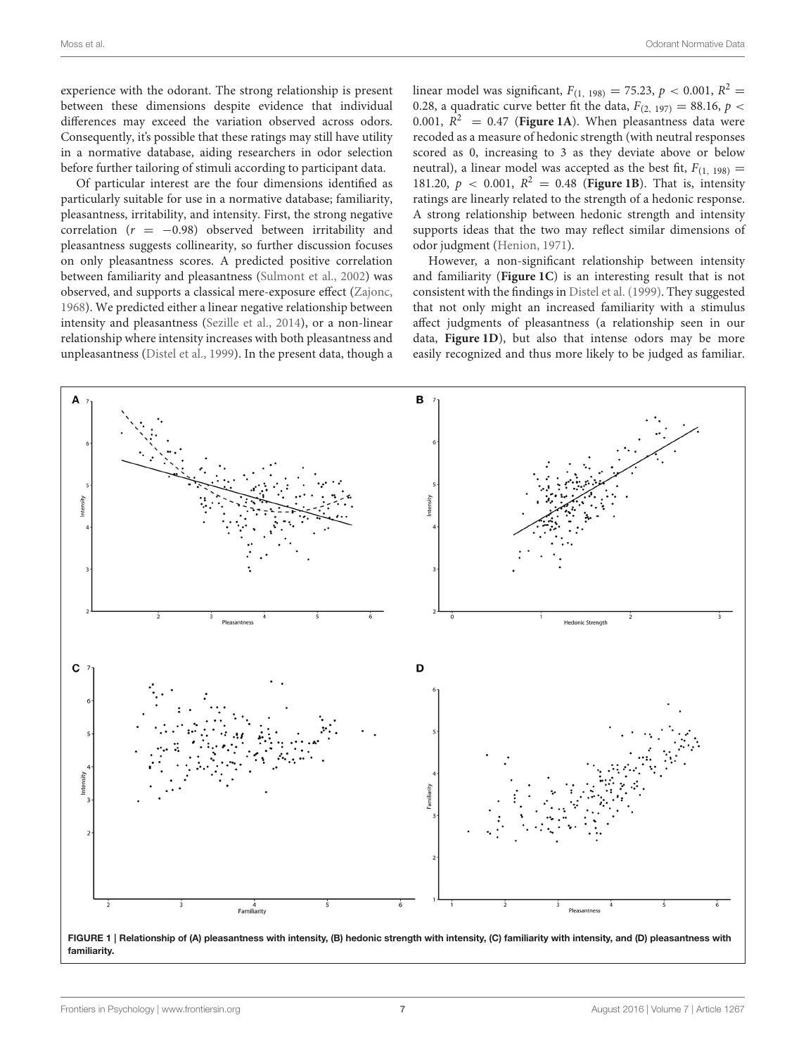experience with the odorant. The strong relationship is present between these dimensions despite evidence that individual differences may exceed the variation observed across odors. Consequently, it's possible that these ratings may still have utility in a normative database, aiding researchers in odor selection before further tailoring of stimuli according to participant data.

Of particular interest are the four dimensions identified as particularly suitable for use in a normative database; familiarity, pleasantness, irritability, and intensity. First, the strong negative correlation ( $r = -0.98$ ) observed between irritability and pleasantness suggests collinearity, so further discussion focuses on only pleasantness scores. A predicted positive correlation between familiarity and pleasantness [\(Sulmont et al., 2002\)](#page-9-15) was observed, and supports a classical mere-exposure effect [\(Zajonc,](#page-10-5) [1968\)](#page-10-5). We predicted either a linear negative relationship between intensity and pleasantness [\(Sezille et al., 2014\)](#page-9-33), or a non-linear relationship where intensity increases with both pleasantness and unpleasantness [\(Distel et al., 1999\)](#page-8-8). In the present data, though a

linear model was significant,  $F_{(1, 198)} = 75.23$ ,  $p < 0.001$ ,  $R^2 =$ 0.28, a quadratic curve better fit the data,  $F_{(2, 197)} = 88.16$ ,  $p <$ 0.001,  $R^2$  = 0.47 (**[Figure 1A](#page-6-0)**). When pleasantness data were recoded as a measure of hedonic strength (with neutral responses scored as 0, increasing to 3 as they deviate above or below neutral), a linear model was accepted as the best fit,  $F_{(1, 198)} =$ 181.20,  $p < 0.001$ ,  $R^2 = 0.48$  (**[Figure 1B](#page-6-0)**). That is, intensity ratings are linearly related to the strength of a hedonic response. A strong relationship between hedonic strength and intensity supports ideas that the two may reflect similar dimensions of odor judgment [\(Henion, 1971\)](#page-9-26).

However, a non-significant relationship between intensity and familiarity (**[Figure 1C](#page-6-0)**) is an interesting result that is not consistent with the findings in [Distel et al. \(1999\)](#page-8-8). They suggested that not only might an increased familiarity with a stimulus affect judgments of pleasantness (a relationship seen in our data, **[Figure 1D](#page-6-0)**), but also that intense odors may be more easily recognized and thus more likely to be judged as familiar.



<span id="page-6-0"></span>FIGURE 1 | Relationship of (A) pleasantness with intensity, (B) hedonic strength with intensity, (C) familiarity with intensity, and (D) pleasantness with familiarity.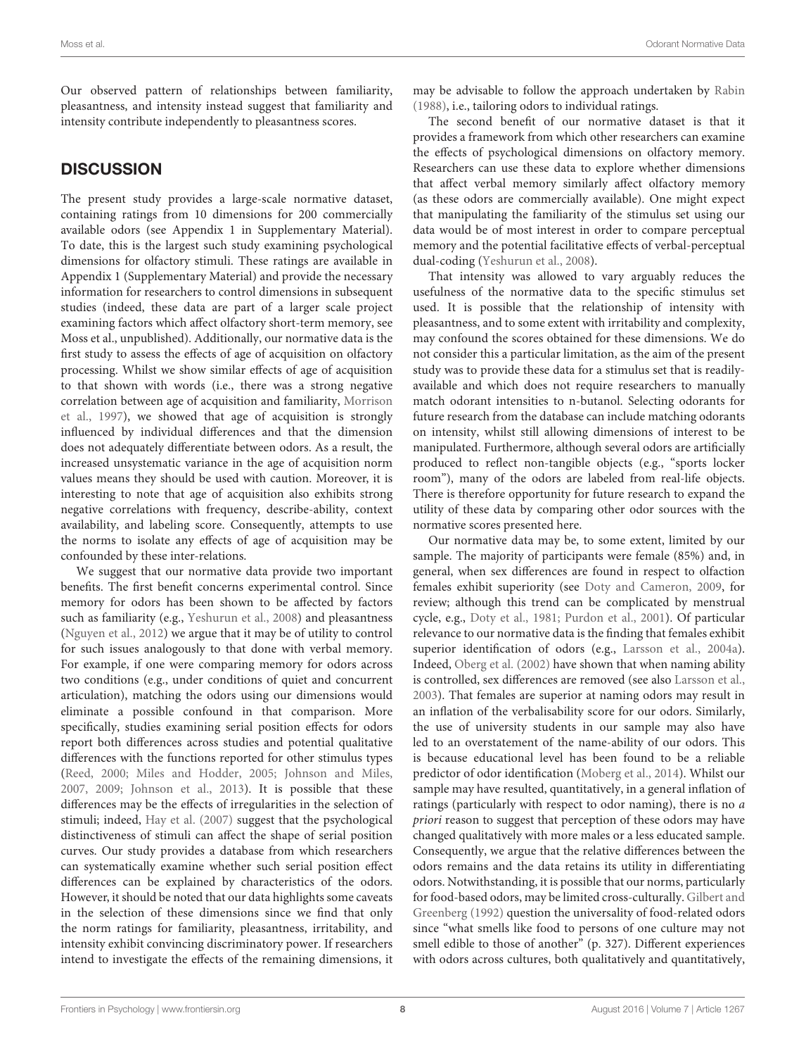Our observed pattern of relationships between familiarity, pleasantness, and intensity instead suggest that familiarity and intensity contribute independently to pleasantness scores.

## **DISCUSSION**

The present study provides a large-scale normative dataset, containing ratings from 10 dimensions for 200 commercially available odors (see Appendix 1 in Supplementary Material). To date, this is the largest such study examining psychological dimensions for olfactory stimuli. These ratings are available in Appendix 1 (Supplementary Material) and provide the necessary information for researchers to control dimensions in subsequent studies (indeed, these data are part of a larger scale project examining factors which affect olfactory short-term memory, see Moss et al., unpublished). Additionally, our normative data is the first study to assess the effects of age of acquisition on olfactory processing. Whilst we show similar effects of age of acquisition to that shown with words (i.e., there was a strong negative correlation between age of acquisition and familiarity, Morrison et al., [1997\)](#page-9-30), we showed that age of acquisition is strongly influenced by individual differences and that the dimension does not adequately differentiate between odors. As a result, the increased unsystematic variance in the age of acquisition norm values means they should be used with caution. Moreover, it is interesting to note that age of acquisition also exhibits strong negative correlations with frequency, describe-ability, context availability, and labeling score. Consequently, attempts to use the norms to isolate any effects of age of acquisition may be confounded by these inter-relations.

We suggest that our normative data provide two important benefits. The first benefit concerns experimental control. Since memory for odors has been shown to be affected by factors such as familiarity (e.g., [Yeshurun et al., 2008\)](#page-10-1) and pleasantness [\(Nguyen et al., 2012\)](#page-9-13) we argue that it may be of utility to control for such issues analogously to that done with verbal memory. For example, if one were comparing memory for odors across two conditions (e.g., under conditions of quiet and concurrent articulation), matching the odors using our dimensions would eliminate a possible confound in that comparison. More specifically, studies examining serial position effects for odors report both differences across studies and potential qualitative differences with the functions reported for other stimulus types [\(Reed, 2000;](#page-9-3) [Miles and Hodder, 2005;](#page-9-1) [Johnson and Miles,](#page-9-2) [2007,](#page-9-2) [2009;](#page-9-4) [Johnson et al., 2013\)](#page-9-5). It is possible that these differences may be the effects of irregularities in the selection of stimuli; indeed, [Hay et al. \(2007\)](#page-9-6) suggest that the psychological distinctiveness of stimuli can affect the shape of serial position curves. Our study provides a database from which researchers can systematically examine whether such serial position effect differences can be explained by characteristics of the odors. However, it should be noted that our data highlights some caveats in the selection of these dimensions since we find that only the norm ratings for familiarity, pleasantness, irritability, and intensity exhibit convincing discriminatory power. If researchers intend to investigate the effects of the remaining dimensions, it may be advisable to follow the approach undertaken by [Rabin](#page-9-10) [\(1988\)](#page-9-10), i.e., tailoring odors to individual ratings.

The second benefit of our normative dataset is that it provides a framework from which other researchers can examine the effects of psychological dimensions on olfactory memory. Researchers can use these data to explore whether dimensions that affect verbal memory similarly affect olfactory memory (as these odors are commercially available). One might expect that manipulating the familiarity of the stimulus set using our data would be of most interest in order to compare perceptual memory and the potential facilitative effects of verbal-perceptual dual-coding [\(Yeshurun et al., 2008\)](#page-10-1).

That intensity was allowed to vary arguably reduces the usefulness of the normative data to the specific stimulus set used. It is possible that the relationship of intensity with pleasantness, and to some extent with irritability and complexity, may confound the scores obtained for these dimensions. We do not consider this a particular limitation, as the aim of the present study was to provide these data for a stimulus set that is readilyavailable and which does not require researchers to manually match odorant intensities to n-butanol. Selecting odorants for future research from the database can include matching odorants on intensity, whilst still allowing dimensions of interest to be manipulated. Furthermore, although several odors are artificially produced to reflect non-tangible objects (e.g., "sports locker room"), many of the odors are labeled from real-life objects. There is therefore opportunity for future research to expand the utility of these data by comparing other odor sources with the normative scores presented here.

Our normative data may be, to some extent, limited by our sample. The majority of participants were female (85%) and, in general, when sex differences are found in respect to olfaction females exhibit superiority (see [Doty and Cameron, 2009,](#page-9-37) for review; although this trend can be complicated by menstrual cycle, e.g., [Doty et al., 1981;](#page-9-38) [Purdon et al., 2001\)](#page-9-39). Of particular relevance to our normative data is the finding that females exhibit superior identification of odors (e.g., [Larsson et al., 2004a\)](#page-9-40). Indeed, [Oberg et al. \(2002\)](#page-9-41) have shown that when naming ability is controlled, sex differences are removed (see also [Larsson et al.,](#page-9-42) [2003\)](#page-9-42). That females are superior at naming odors may result in an inflation of the verbalisability score for our odors. Similarly, the use of university students in our sample may also have led to an overstatement of the name-ability of our odors. This is because educational level has been found to be a reliable predictor of odor identification [\(Moberg et al., 2014\)](#page-9-43). Whilst our sample may have resulted, quantitatively, in a general inflation of ratings (particularly with respect to odor naming), there is no a priori reason to suggest that perception of these odors may have changed qualitatively with more males or a less educated sample. Consequently, we argue that the relative differences between the odors remains and the data retains its utility in differentiating odors. Notwithstanding, it is possible that our norms, particularly for food-based odors, may be limited cross-culturally. Gilbert and Greenberg [\(1992\)](#page-9-17) question the universality of food-related odors since "what smells like food to persons of one culture may not smell edible to those of another" (p. 327). Different experiences with odors across cultures, both qualitatively and quantitatively,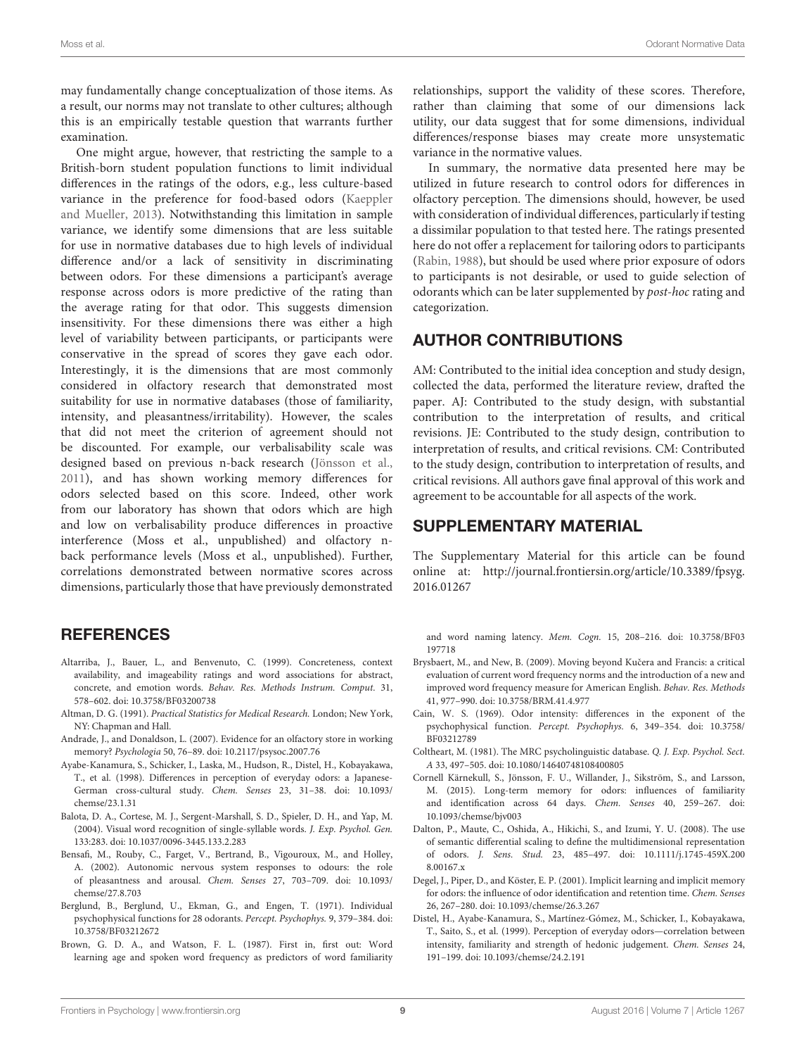may fundamentally change conceptualization of those items. As a result, our norms may not translate to other cultures; although this is an empirically testable question that warrants further examination.

One might argue, however, that restricting the sample to a British-born student population functions to limit individual differences in the ratings of the odors, e.g., less culture-based variance in the preference for food-based odors (Kaeppler and Mueller, [2013\)](#page-9-16). Notwithstanding this limitation in sample variance, we identify some dimensions that are less suitable for use in normative databases due to high levels of individual difference and/or a lack of sensitivity in discriminating between odors. For these dimensions a participant's average response across odors is more predictive of the rating than the average rating for that odor. This suggests dimension insensitivity. For these dimensions there was either a high level of variability between participants, or participants were conservative in the spread of scores they gave each odor. Interestingly, it is the dimensions that are most commonly considered in olfactory research that demonstrated most suitability for use in normative databases (those of familiarity, intensity, and pleasantness/irritability). However, the scales that did not meet the criterion of agreement should not be discounted. For example, our verbalisability scale was designed based on previous n-back research [\(Jönsson et al.,](#page-9-20) [2011\)](#page-9-20), and has shown working memory differences for odors selected based on this score. Indeed, other work from our laboratory has shown that odors which are high and low on verbalisability produce differences in proactive interference (Moss et al., unpublished) and olfactory nback performance levels (Moss et al., unpublished). Further, correlations demonstrated between normative scores across dimensions, particularly those that have previously demonstrated

## **REFERENCES**

- <span id="page-8-3"></span>Altarriba, J., Bauer, L., and Benvenuto, C. (1999). Concreteness, context availability, and imageability ratings and word associations for abstract, concrete, and emotion words. Behav. Res. Methods Instrum. Comput. 31, 578–602. doi: 10.3758/BF03200738
- <span id="page-8-14"></span>Altman, D. G. (1991). Practical Statistics for Medical Research. London; New York, NY: Chapman and Hall.
- <span id="page-8-0"></span>Andrade, J., and Donaldson, L. (2007). Evidence for an olfactory store in working memory? Psychologia 50, 76–89. doi: 10.2117/psysoc.2007.76
- <span id="page-8-7"></span>Ayabe-Kanamura, S., Schicker, I., Laska, M., Hudson, R., Distel, H., Kobayakawa, T., et al. (1998). Differences in perception of everyday odors: a Japanese-German cross-cultural study. Chem. Senses 23, 31–38. doi: 10.1093/ chemse/23.1.31
- <span id="page-8-13"></span>Balota, D. A., Cortese, M. J., Sergent-Marshall, S. D., Spieler, D. H., and Yap, M. (2004). Visual word recognition of single-syllable words. J. Exp. Psychol. Gen. 133:283. doi: 10.1037/0096-3445.133.2.283
- <span id="page-8-9"></span>Bensafi, M., Rouby, C., Farget, V., Bertrand, B., Vigouroux, M., and Holley, A. (2002). Autonomic nervous system responses to odours: the role of pleasantness and arousal. Chem. Senses 27, 703–709. doi: 10.1093/ chemse/27.8.703
- <span id="page-8-6"></span>Berglund, B., Berglund, U., Ekman, G., and Engen, T. (1971). Individual psychophysical functions for 28 odorants. Percept. Psychophys. 9, 379–384. doi: 10.3758/BF03212672
- <span id="page-8-10"></span>Brown, G. D. A., and Watson, F. L. (1987). First in, first out: Word learning age and spoken word frequency as predictors of word familiarity

relationships, support the validity of these scores. Therefore, rather than claiming that some of our dimensions lack utility, our data suggest that for some dimensions, individual differences/response biases may create more unsystematic variance in the normative values.

In summary, the normative data presented here may be utilized in future research to control odors for differences in olfactory perception. The dimensions should, however, be used with consideration of individual differences, particularly if testing a dissimilar population to that tested here. The ratings presented here do not offer a replacement for tailoring odors to participants [\(Rabin, 1988\)](#page-9-10), but should be used where prior exposure of odors to participants is not desirable, or used to guide selection of odorants which can be later supplemented by post-hoc rating and categorization.

## AUTHOR CONTRIBUTIONS

AM: Contributed to the initial idea conception and study design, collected the data, performed the literature review, drafted the paper. AJ: Contributed to the study design, with substantial contribution to the interpretation of results, and critical revisions. JE: Contributed to the study design, contribution to interpretation of results, and critical revisions. CM: Contributed to the study design, contribution to interpretation of results, and critical revisions. All authors gave final approval of this work and agreement to be accountable for all aspects of the work.

## SUPPLEMENTARY MATERIAL

The Supplementary Material for this article can be found [online at: http://journal.frontiersin.org/article/10.3389/fpsyg.](http://journal.frontiersin.org/article/10.3389/fpsyg.2016.01267) 2016.01267

and word naming latency. Mem. Cogn. 15, 208–216. doi: 10.3758/BF03 197718

- <span id="page-8-12"></span>Brysbaert, M., and New, B. (2009). Moving beyond Kučera and Francis: a critical evaluation of current word frequency norms and the introduction of a new and improved word frequency measure for American English. Behav. Res. Methods 41, 977–990. doi: 10.3758/BRM.41.4.977
- <span id="page-8-5"></span>Cain, W. S. (1969). Odor intensity: differences in the exponent of the psychophysical function. Percept. Psychophys. 6, 349–354. doi: 10.3758/ BF03212789
- <span id="page-8-1"></span>Coltheart, M. (1981). The MRC psycholinguistic database. Q. J. Exp. Psychol. Sect. A 33, 497–505. doi: 10.1080/14640748108400805
- <span id="page-8-2"></span>Cornell Kärnekull, S., Jönsson, F. U., Willander, J., Sikström, S., and Larsson, M. (2015). Long-term memory for odors: influences of familiarity and identification across 64 days. Chem. Senses 40, 259–267. doi: 10.1093/chemse/bjv003
- <span id="page-8-4"></span>Dalton, P., Maute, C., Oshida, A., Hikichi, S., and Izumi, Y. U. (2008). The use of semantic differential scaling to define the multidimensional representation of odors. J. Sens. Stud. 23, 485–497. doi: 10.1111/j.1745-459X.200 8.00167.x
- <span id="page-8-11"></span>Degel, J., Piper, D., and Köster, E. P. (2001). Implicit learning and implicit memory for odors: the influence of odor identification and retention time. Chem. Senses 26, 267–280. doi: 10.1093/chemse/26.3.267
- <span id="page-8-8"></span>Distel, H., Ayabe-Kanamura, S., Martínez-Gómez, M., Schicker, I., Kobayakawa, T., Saito, S., et al. (1999). Perception of everyday odors—correlation between intensity, familiarity and strength of hedonic judgement. Chem. Senses 24, 191–199. doi: 10.1093/chemse/24.2.191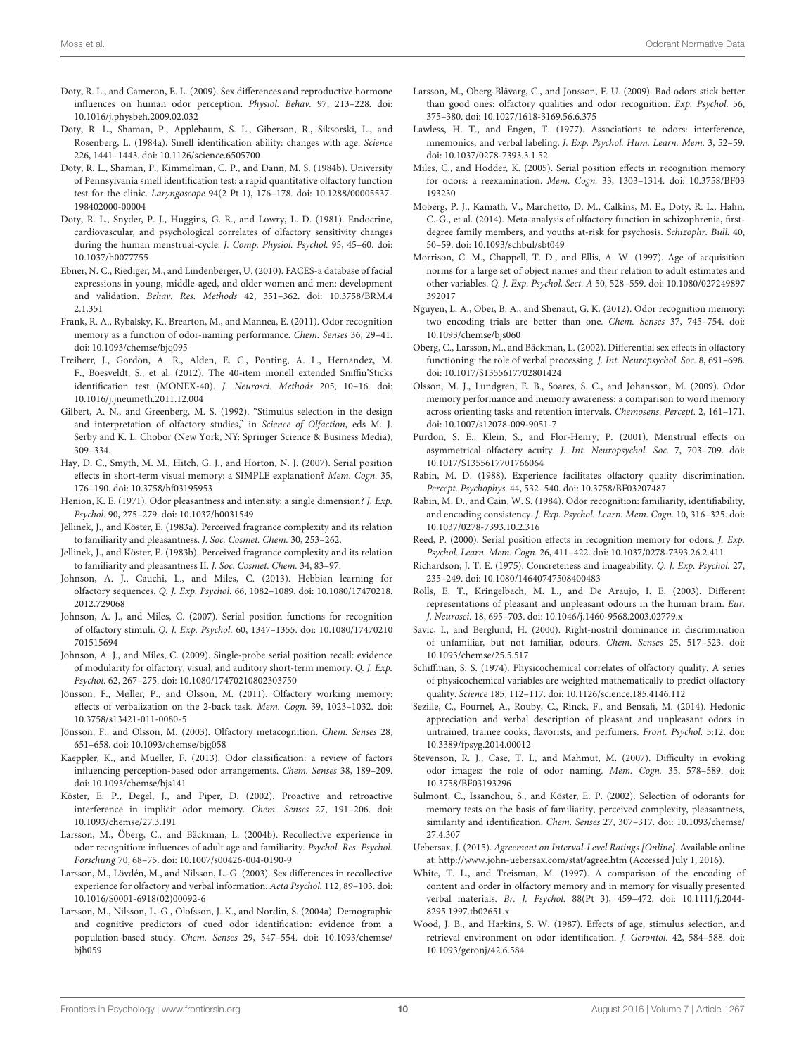- <span id="page-9-37"></span>Doty, R. L., and Cameron, E. L. (2009). Sex differences and reproductive hormone influences on human odor perception. Physiol. Behav. 97, 213–228. doi: 10.1016/j.physbeh.2009.02.032
- <span id="page-9-34"></span>Doty, R. L., Shaman, P., Applebaum, S. L., Giberson, R., Siksorski, L., and Rosenberg, L. (1984a). Smell identification ability: changes with age. Science 226, 1441–1443. doi: 10.1126/science.6505700
- <span id="page-9-12"></span>Doty, R. L., Shaman, P., Kimmelman, C. P., and Dann, M. S. (1984b). University of Pennsylvania smell identification test: a rapid quantitative olfactory function test for the clinic. Laryngoscope 94(2 Pt 1), 176–178. doi: 10.1288/00005537- 198402000-00004
- <span id="page-9-38"></span>Doty, R. L., Snyder, P. J., Huggins, G. R., and Lowry, L. D. (1981). Endocrine, cardiovascular, and psychological correlates of olfactory sensitivity changes during the human menstrual-cycle. J. Comp. Physiol. Psychol. 95, 45–60. doi: 10.1037/h0077755
- <span id="page-9-11"></span>Ebner, N. C., Riediger, M., and Lindenberger, U. (2010). FACES-a database of facial expressions in young, middle-aged, and older women and men: development and validation. Behav. Res. Methods 42, 351–362. doi: 10.3758/BRM.4 2.1.351
- <span id="page-9-18"></span>Frank, R. A., Rybalsky, K., Brearton, M., and Mannea, E. (2011). Odor recognition memory as a function of odor-naming performance. Chem. Senses 36, 29–41. doi: 10.1093/chemse/bjq095
- <span id="page-9-14"></span>Freiherr, J., Gordon, A. R., Alden, E. C., Ponting, A. L., Hernandez, M. F., Boesveldt, S., et al. (2012). The 40-item monell extended Sniffin'Sticks identification test (MONEX-40). J. Neurosci. Methods 205, 10–16. doi: 10.1016/j.jneumeth.2011.12.004
- <span id="page-9-17"></span>Gilbert, A. N., and Greenberg, M. S. (1992). "Stimulus selection in the design and interpretation of olfactory studies," in Science of Olfaction, eds M. J. Serby and K. L. Chobor (New York, NY: Springer Science & Business Media), 309–334.
- <span id="page-9-6"></span>Hay, D. C., Smyth, M. M., Hitch, G. J., and Horton, N. J. (2007). Serial position effects in short-term visual memory: a SIMPLE explanation? Mem. Cogn. 35, 176–190. doi: 10.3758/bf03195953
- <span id="page-9-26"></span>Henion, K. E. (1971). Odor pleasantness and intensity: a single dimension? J. Exp. Psychol. 90, 275–279. doi: 10.1037/h0031549
- <span id="page-9-31"></span>Jellinek, J., and Köster, E. (1983a). Perceived fragrance complexity and its relation to familiarity and pleasantness. J. Soc. Cosmet. Chem. 30, 253–262.
- <span id="page-9-32"></span>Jellinek, J., and Köster, E. (1983b). Perceived fragrance complexity and its relation to familiarity and pleasantness II. J. Soc. Cosmet. Chem. 34, 83–97.
- <span id="page-9-5"></span>Johnson, A. J., Cauchi, L., and Miles, C. (2013). Hebbian learning for olfactory sequences. Q. J. Exp. Psychol. 66, 1082–1089. doi: 10.1080/17470218. 2012.729068
- <span id="page-9-2"></span>Johnson, A. J., and Miles, C. (2007). Serial position functions for recognition of olfactory stimuli. Q. J. Exp. Psychol. 60, 1347–1355. doi: 10.1080/17470210 701515694
- <span id="page-9-4"></span>Johnson, A. J., and Miles, C. (2009). Single-probe serial position recall: evidence of modularity for olfactory, visual, and auditory short-term memory. Q. J. Exp. Psychol. 62, 267–275. doi: 10.1080/17470210802303750
- <span id="page-9-20"></span>Jönsson, F., Møller, P., and Olsson, M. (2011). Olfactory working memory: effects of verbalization on the 2-back task. Mem. Cogn. 39, 1023–1032. doi: 10.3758/s13421-011-0080-5
- <span id="page-9-21"></span>Jönsson, F., and Olsson, M. (2003). Olfactory metacognition. Chem. Senses 28, 651–658. doi: 10.1093/chemse/bjg058
- <span id="page-9-16"></span>Kaeppler, K., and Mueller, F. (2013). Odor classification: a review of factors influencing perception-based odor arrangements. Chem. Senses 38, 189–209. doi: 10.1093/chemse/bjs141
- <span id="page-9-29"></span>Köster, E. P., Degel, J., and Piper, D. (2002). Proactive and retroactive interference in implicit odor memory. Chem. Senses 27, 191–206. doi: 10.1093/chemse/27.3.191
- <span id="page-9-7"></span>Larsson, M., Öberg, C., and Bäckman, L. (2004b). Recollective experience in odor recognition: influences of adult age and familiarity. Psychol. Res. Psychol. Forschung 70, 68–75. doi: 10.1007/s00426-004-0190-9
- <span id="page-9-42"></span>Larsson, M., Lövdén, M., and Nilsson, L.-G. (2003). Sex differences in recollective experience for olfactory and verbal information. Acta Psychol. 112, 89–103. doi: 10.1016/S0001-6918(02)00092-6
- <span id="page-9-40"></span>Larsson, M., Nilsson, L.-G., Olofsson, J. K., and Nordin, S. (2004a). Demographic and cognitive predictors of cued odor identification: evidence from a population-based study. Chem. Senses 29, 547–554. doi: 10.1093/chemse/ bjh059
- <span id="page-9-27"></span>Larsson, M., Oberg-Blåvarg, C., and Jonsson, F. U. (2009). Bad odors stick better than good ones: olfactory qualities and odor recognition. Exp. Psychol. 56, 375–380. doi: 10.1027/1618-3169.56.6.375
- <span id="page-9-19"></span>Lawless, H. T., and Engen, T. (1977). Associations to odors: interference, mnemonics, and verbal labeling. J. Exp. Psychol. Hum. Learn. Mem. 3, 52–59. doi: 10.1037/0278-7393.3.1.52
- <span id="page-9-1"></span>Miles, C., and Hodder, K. (2005). Serial position effects in recognition memory for odors: a reexamination. Mem. Cogn. 33, 1303–1314. doi: 10.3758/BF03 193230
- <span id="page-9-43"></span>Moberg, P. J., Kamath, V., Marchetto, D. M., Calkins, M. E., Doty, R. L., Hahn, C.-G., et al. (2014). Meta-analysis of olfactory function in schizophrenia, firstdegree family members, and youths at-risk for psychosis. Schizophr. Bull. 40, 50–59. doi: 10.1093/schbul/sbt049
- <span id="page-9-30"></span>Morrison, C. M., Chappell, T. D., and Ellis, A. W. (1997). Age of acquisition norms for a large set of object names and their relation to adult estimates and other variables. Q. J. Exp. Psychol. Sect. A 50, 528–559. doi: 10.1080/027249897 392017
- <span id="page-9-13"></span>Nguyen, L. A., Ober, B. A., and Shenaut, G. K. (2012). Odor recognition memory: two encoding trials are better than one. Chem. Senses 37, 745–754. doi: 10.1093/chemse/bjs060
- <span id="page-9-41"></span>Oberg, C., Larsson, M., and Bäckman, L. (2002). Differential sex effects in olfactory functioning: the role of verbal processing. J. Int. Neuropsychol. Soc. 8, 691–698. doi: 10.1017/S1355617702801424
- <span id="page-9-8"></span>Olsson, M. J., Lundgren, E. B., Soares, S. C., and Johansson, M. (2009). Odor memory performance and memory awareness: a comparison to word memory across orienting tasks and retention intervals. Chemosens. Percept. 2, 161–171. doi: 10.1007/s12078-009-9051-7
- <span id="page-9-39"></span>Purdon, S. E., Klein, S., and Flor-Henry, P. (2001). Menstrual effects on asymmetrical olfactory acuity. J. Int. Neuropsychol. Soc. 7, 703–709. doi: 10.1017/S1355617701766064
- <span id="page-9-10"></span>Rabin, M. D. (1988). Experience facilitates olfactory quality discrimination. Percept. Psychophys. 44, 532–540. doi: 10.3758/BF03207487
- <span id="page-9-9"></span>Rabin, M. D., and Cain, W. S. (1984). Odor recognition: familiarity, identifiability, and encoding consistency. J. Exp. Psychol. Learn. Mem. Cogn. 10, 316–325. doi: 10.1037/0278-7393.10.2.316
- <span id="page-9-3"></span>Reed, P. (2000). Serial position effects in recognition memory for odors. J. Exp. Psychol. Learn. Mem. Cogn. 26, 411–422. doi: 10.1037/0278-7393.26.2.411
- <span id="page-9-22"></span>Richardson, J. T. E. (1975). Concreteness and imageability. Q. J. Exp. Psychol. 27, 235–249. doi: 10.1080/14640747508400483
- <span id="page-9-24"></span>Rolls, E. T., Kringelbach, M. L., and De Araujo, I. E. (2003). Different representations of pleasant and unpleasant odours in the human brain. Eur. J. Neurosci. 18, 695–703. doi: 10.1046/j.1460-9568.2003.02779.x
- <span id="page-9-28"></span>Savic, I., and Berglund, H. (2000). Right-nostril dominance in discrimination of unfamiliar, but not familiar, odours. Chem. Senses 25, 517–523. doi: 10.1093/chemse/25.5.517
- <span id="page-9-25"></span>Schiffman, S. S. (1974). Physicochemical correlates of olfactory quality. A series of physicochemical variables are weighted mathematically to predict olfactory quality. Science 185, 112–117. doi: 10.1126/science.185.4146.112
- <span id="page-9-33"></span>Sezille, C., Fournel, A., Rouby, C., Rinck, F., and Bensafi, M. (2014). Hedonic appreciation and verbal description of pleasant and unpleasant odors in untrained, trainee cooks, flavorists, and perfumers. Front. Psychol. 5:12. doi: 10.3389/fpsyg.2014.00012
- <span id="page-9-23"></span>Stevenson, R. J., Case, T. I., and Mahmut, M. (2007). Difficulty in evoking odor images: the role of odor naming. Mem. Cogn. 35, 578–589. doi: 10.3758/BF03193296
- <span id="page-9-15"></span>Sulmont, C., Issanchou, S., and Köster, E. P. (2002). Selection of odorants for memory tests on the basis of familiarity, perceived complexity, pleasantness, similarity and identification. Chem. Senses 27, 307–317. doi: 10.1093/chemse/ 27.4.307
- <span id="page-9-36"></span>Uebersax, J. (2015). Agreement on Interval-Level Ratings [Online]. Available online at:<http://www.john-uebersax.com/stat/agree.htm> (Accessed July 1, 2016).
- <span id="page-9-0"></span>White, T. L., and Treisman, M. (1997). A comparison of the encoding of content and order in olfactory memory and in memory for visually presented verbal materials. Br. J. Psychol. 88(Pt 3), 459–472. doi: 10.1111/j.2044- 8295.1997.tb02651.x
- <span id="page-9-35"></span>Wood, J. B., and Harkins, S. W. (1987). Effects of age, stimulus selection, and retrieval environment on odor identification. J. Gerontol. 42, 584–588. doi: 10.1093/geronj/42.6.584